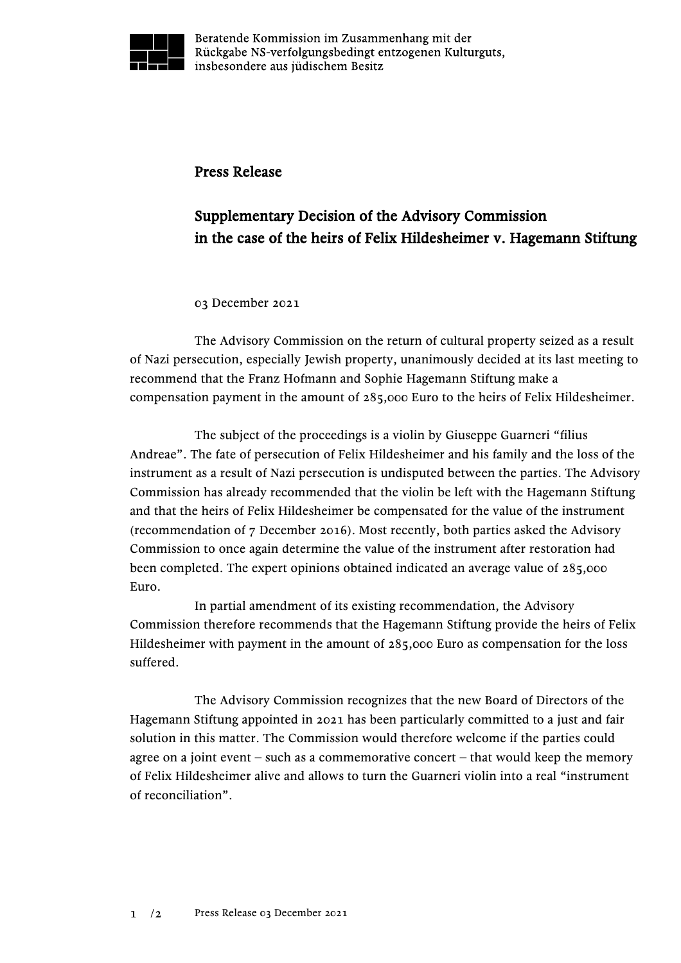

Beratende Kommission im Zusammenhang mit der Rückgabe NS-verfolgungsbedingt entzogenen Kulturguts, insbesondere aus jüdischem Besitz

## Press Release

## Supplementary Decision of the Advisory Commission in the case of the heirs of Felix Hildesheimer v. Hagemann Stiftung

## 03 December 2021

The Advisory Commission on the return of cultural property seized as a result of Nazi persecution, especially Jewish property, unanimously decided at its last meeting to recommend that the Franz Hofmann and Sophie Hagemann Stiftung make a compensation payment in the amount of 285,000 Euro to the heirs of Felix Hildesheimer.

The subject of the proceedings is a violin by Giuseppe Guarneri "filius Andreae". The fate of persecution of Felix Hildesheimer and his family and the loss of the instrument as a result of Nazi persecution is undisputed between the parties. The Advisory Commission has already recommended that the violin be left with the Hagemann Stiftung and that the heirs of Felix Hildesheimer be compensated for the value of the instrument (recommendation of 7 December 2016). Most recently, both parties asked the Advisory Commission to once again determine the value of the instrument after restoration had been completed. The expert opinions obtained indicated an average value of 285,000 Euro.

In partial amendment of its existing recommendation, the Advisory Commission therefore recommends that the Hagemann Stiftung provide the heirs of Felix Hildesheimer with payment in the amount of 285,000 Euro as compensation for the loss suffered.

The Advisory Commission recognizes that the new Board of Directors of the Hagemann Stiftung appointed in 2021 has been particularly committed to a just and fair solution in this matter. The Commission would therefore welcome if the parties could agree on a joint event  $-$  such as a commemorative concert  $-$  that would keep the memory of Felix Hildesheimer alive and allows to turn the Guarneri violin into a real "instrument of reconciliation".